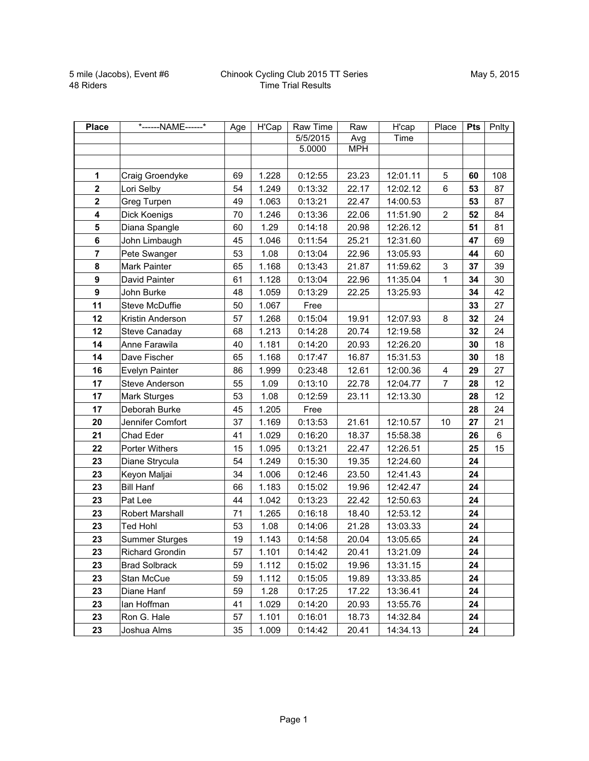| <b>Place</b>            | *------NAME------*     | Age | H'Cap | Raw Time | Raw        | H'cap    | Place                   | Pts | Pnlty |
|-------------------------|------------------------|-----|-------|----------|------------|----------|-------------------------|-----|-------|
|                         |                        |     |       | 5/5/2015 | Avg        | Time     |                         |     |       |
|                         |                        |     |       | 5.0000   | <b>MPH</b> |          |                         |     |       |
|                         |                        |     |       |          |            |          |                         |     |       |
| 1                       | Craig Groendyke        | 69  | 1.228 | 0:12:55  | 23.23      | 12:01.11 | 5                       | 60  | 108   |
| $\mathbf{2}$            | Lori Selby             | 54  | 1.249 | 0:13:32  | 22.17      | 12:02.12 | $\,6$                   | 53  | 87    |
| $\mathbf 2$             | Greg Turpen            | 49  | 1.063 | 0:13:21  | 22.47      | 14:00.53 |                         | 53  | 87    |
| $\overline{\mathbf{4}}$ | Dick Koenigs           | 70  | 1.246 | 0:13:36  | 22.06      | 11:51.90 | $\overline{a}$          | 52  | 84    |
| 5                       | Diana Spangle          | 60  | 1.29  | 0:14:18  | 20.98      | 12:26.12 |                         | 51  | 81    |
| 6                       | John Limbaugh          | 45  | 1.046 | 0:11:54  | 25.21      | 12:31.60 |                         | 47  | 69    |
| $\overline{7}$          | Pete Swanger           | 53  | 1.08  | 0:13:04  | 22.96      | 13:05.93 |                         | 44  | 60    |
| 8                       | Mark Painter           | 65  | 1.168 | 0:13:43  | 21.87      | 11:59.62 | $\sqrt{3}$              | 37  | 39    |
| 9                       | David Painter          | 61  | 1.128 | 0:13:04  | 22.96      | 11:35.04 | $\mathbf 1$             | 34  | 30    |
| $\boldsymbol{9}$        | John Burke             | 48  | 1.059 | 0:13:29  | 22.25      | 13:25.93 |                         | 34  | 42    |
| 11                      | Steve McDuffie         | 50  | 1.067 | Free     |            |          |                         | 33  | 27    |
| 12                      | Kristin Anderson       | 57  | 1.268 | 0:15:04  | 19.91      | 12:07.93 | 8                       | 32  | 24    |
| 12                      | Steve Canaday          | 68  | 1.213 | 0:14:28  | 20.74      | 12:19.58 |                         | 32  | 24    |
| 14                      | Anne Farawila          | 40  | 1.181 | 0:14:20  | 20.93      | 12:26.20 |                         | 30  | 18    |
| 14                      | Dave Fischer           | 65  | 1.168 | 0:17:47  | 16.87      | 15:31.53 |                         | 30  | 18    |
| 16                      | Evelyn Painter         | 86  | 1.999 | 0:23:48  | 12.61      | 12:00.36 | $\overline{\mathbf{4}}$ | 29  | 27    |
| 17                      | <b>Steve Anderson</b>  | 55  | 1.09  | 0:13:10  | 22.78      | 12:04.77 | $\overline{7}$          | 28  | 12    |
| 17                      | <b>Mark Sturges</b>    | 53  | 1.08  | 0:12:59  | 23.11      | 12:13.30 |                         | 28  | 12    |
| 17                      | Deborah Burke          | 45  | 1.205 | Free     |            |          |                         | 28  | 24    |
| 20                      | Jennifer Comfort       | 37  | 1.169 | 0:13:53  | 21.61      | 12:10.57 | 10                      | 27  | 21    |
| 21                      | Chad Eder              | 41  | 1.029 | 0:16:20  | 18.37      | 15:58.38 |                         | 26  | 6     |
| 22                      | Porter Withers         | 15  | 1.095 | 0:13:21  | 22.47      | 12:26.51 |                         | 25  | 15    |
| 23                      | Diane Strycula         | 54  | 1.249 | 0:15:30  | 19.35      | 12:24.60 |                         | 24  |       |
| 23                      | Keyon Maljai           | 34  | 1.006 | 0:12:46  | 23.50      | 12:41.43 |                         | 24  |       |
| 23                      | <b>Bill Hanf</b>       | 66  | 1.183 | 0:15:02  | 19.96      | 12:42.47 |                         | 24  |       |
| 23                      | Pat Lee                | 44  | 1.042 | 0:13:23  | 22.42      | 12:50.63 |                         | 24  |       |
| 23                      | Robert Marshall        | 71  | 1.265 | 0:16:18  | 18.40      | 12:53.12 |                         | 24  |       |
| 23                      | <b>Ted Hohl</b>        | 53  | 1.08  | 0:14:06  | 21.28      | 13:03.33 |                         | 24  |       |
| 23                      | <b>Summer Sturges</b>  | 19  | 1.143 | 0:14:58  | 20.04      | 13:05.65 |                         | 24  |       |
| 23                      | <b>Richard Grondin</b> | 57  | 1.101 | 0:14:42  | 20.41      | 13:21.09 |                         | 24  |       |
| 23                      | <b>Brad Solbrack</b>   | 59  | 1.112 | 0:15:02  | 19.96      | 13:31.15 |                         | 24  |       |
| 23                      | Stan McCue             | 59  | 1.112 | 0:15:05  | 19.89      | 13:33.85 |                         | 24  |       |
| 23                      | Diane Hanf             | 59  | 1.28  | 0:17:25  | 17.22      | 13:36.41 |                         | 24  |       |
| 23                      | lan Hoffman            | 41  | 1.029 | 0:14:20  | 20.93      | 13:55.76 |                         | 24  |       |
| 23                      | Ron G. Hale            | 57  | 1.101 | 0:16:01  | 18.73      | 14:32.84 |                         | 24  |       |
| 23                      | Joshua Alms            | 35  | 1.009 | 0:14:42  | 20.41      | 14:34.13 |                         | 24  |       |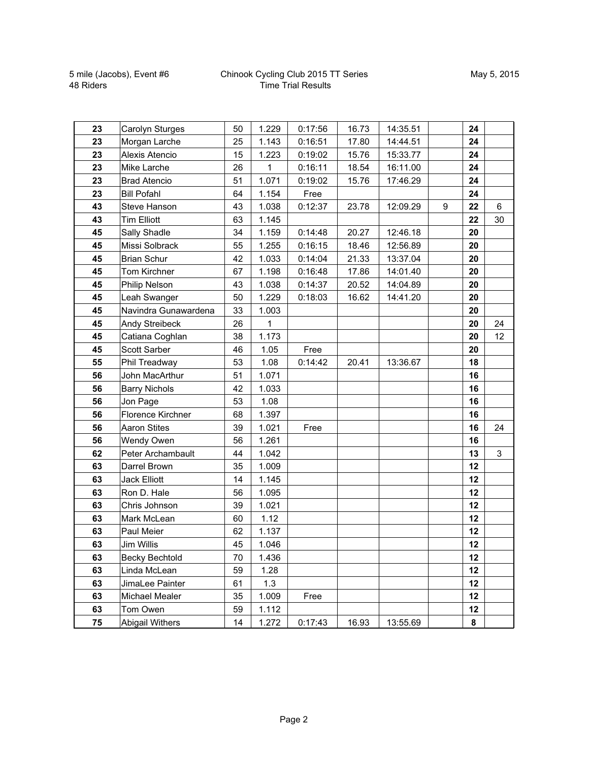## Chinook Cycling Club 2015 TT Series Time Trial Results

| 23 | Carolyn Sturges       | 50 | 1.229 | 0:17:56 | 16.73 | 14:35.51 |   | 24 |              |
|----|-----------------------|----|-------|---------|-------|----------|---|----|--------------|
| 23 | Morgan Larche         | 25 | 1.143 | 0:16:51 | 17.80 | 14:44.51 |   | 24 |              |
| 23 | Alexis Atencio        | 15 | 1.223 | 0:19:02 | 15.76 | 15:33.77 |   | 24 |              |
| 23 | Mike Larche           | 26 | 1     | 0:16:11 | 18.54 | 16:11.00 |   | 24 |              |
| 23 | <b>Brad Atencio</b>   | 51 | 1.071 | 0:19:02 | 15.76 | 17:46.29 |   | 24 |              |
| 23 | <b>Bill Pofahl</b>    | 64 | 1.154 | Free    |       |          |   | 24 |              |
| 43 | Steve Hanson          | 43 | 1.038 | 0:12:37 | 23.78 | 12:09.29 | 9 | 22 | 6            |
| 43 | <b>Tim Elliott</b>    | 63 | 1.145 |         |       |          |   | 22 | 30           |
| 45 | Sally Shadle          | 34 | 1.159 | 0:14:48 | 20.27 | 12:46.18 |   | 20 |              |
| 45 | Missi Solbrack        | 55 | 1.255 | 0:16:15 | 18.46 | 12:56.89 |   | 20 |              |
| 45 | <b>Brian Schur</b>    | 42 | 1.033 | 0:14:04 | 21.33 | 13:37.04 |   | 20 |              |
| 45 | Tom Kirchner          | 67 | 1.198 | 0:16:48 | 17.86 | 14:01.40 |   | 20 |              |
| 45 | Philip Nelson         | 43 | 1.038 | 0:14:37 | 20.52 | 14:04.89 |   | 20 |              |
| 45 | Leah Swanger          | 50 | 1.229 | 0:18:03 | 16.62 | 14:41.20 |   | 20 |              |
| 45 | Navindra Gunawardena  | 33 | 1.003 |         |       |          |   | 20 |              |
| 45 | Andy Streibeck        | 26 | 1     |         |       |          |   | 20 | 24           |
| 45 | Catiana Coghlan       | 38 | 1.173 |         |       |          |   | 20 | 12           |
| 45 | Scott Sarber          | 46 | 1.05  | Free    |       |          |   | 20 |              |
| 55 | Phil Treadway         | 53 | 1.08  | 0:14:42 | 20.41 | 13:36.67 |   | 18 |              |
| 56 | John MacArthur        | 51 | 1.071 |         |       |          |   | 16 |              |
| 56 | <b>Barry Nichols</b>  | 42 | 1.033 |         |       |          |   | 16 |              |
| 56 | Jon Page              | 53 | 1.08  |         |       |          |   | 16 |              |
| 56 | Florence Kirchner     | 68 | 1.397 |         |       |          |   | 16 |              |
| 56 | <b>Aaron Stites</b>   | 39 | 1.021 | Free    |       |          |   | 16 | 24           |
| 56 | Wendy Owen            | 56 | 1.261 |         |       |          |   | 16 |              |
| 62 | Peter Archambault     | 44 | 1.042 |         |       |          |   | 13 | $\mathbf{3}$ |
| 63 | Darrel Brown          | 35 | 1.009 |         |       |          |   | 12 |              |
| 63 | <b>Jack Elliott</b>   | 14 | 1.145 |         |       |          |   | 12 |              |
| 63 | Ron D. Hale           | 56 | 1.095 |         |       |          |   | 12 |              |
| 63 | Chris Johnson         | 39 | 1.021 |         |       |          |   | 12 |              |
| 63 | Mark McLean           | 60 | 1.12  |         |       |          |   | 12 |              |
| 63 | Paul Meier            | 62 | 1.137 |         |       |          |   | 12 |              |
| 63 | Jim Willis            | 45 | 1.046 |         |       |          |   | 12 |              |
| 63 | <b>Becky Bechtold</b> | 70 | 1.436 |         |       |          |   | 12 |              |
| 63 | Linda McLean          | 59 | 1.28  |         |       |          |   | 12 |              |
| 63 | JimaLee Painter       | 61 | 1.3   |         |       |          |   | 12 |              |
| 63 | Michael Mealer        | 35 | 1.009 | Free    |       |          |   | 12 |              |
| 63 | Tom Owen              | 59 | 1.112 |         |       |          |   | 12 |              |
| 75 | Abigail Withers       | 14 | 1.272 | 0:17:43 | 16.93 | 13:55.69 |   | 8  |              |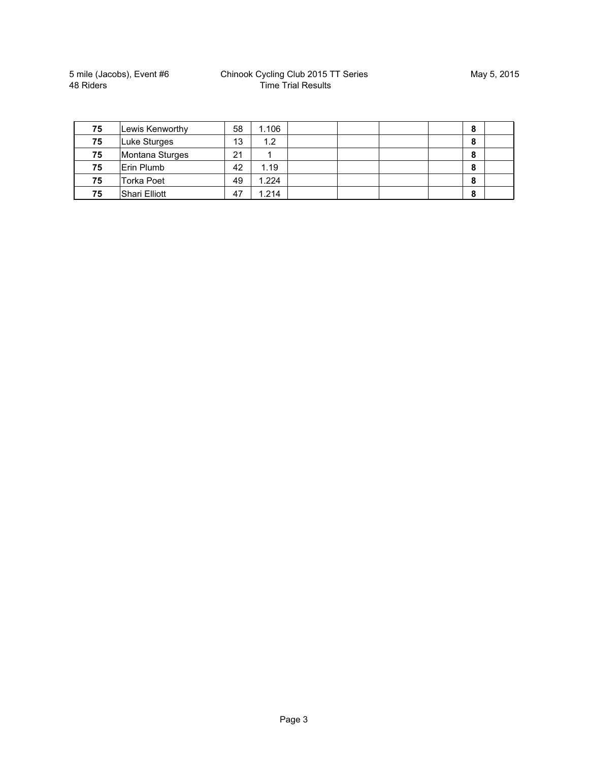5 mile (Jacobs), Event #6 48 Riders

| 75 | Lewis Kenworthy      | 58 | 1.106 |  | 8 |  |
|----|----------------------|----|-------|--|---|--|
| 75 | Luke Sturges         | 13 | 1.2   |  | 8 |  |
| 75 | Montana Sturges      | 21 |       |  | 8 |  |
| 75 | Erin Plumb           | 42 | 1.19  |  | 8 |  |
| 75 | <b>Torka Poet</b>    | 49 | 1.224 |  | 8 |  |
| 75 | <b>Shari Elliott</b> | 47 | 1.214 |  | 8 |  |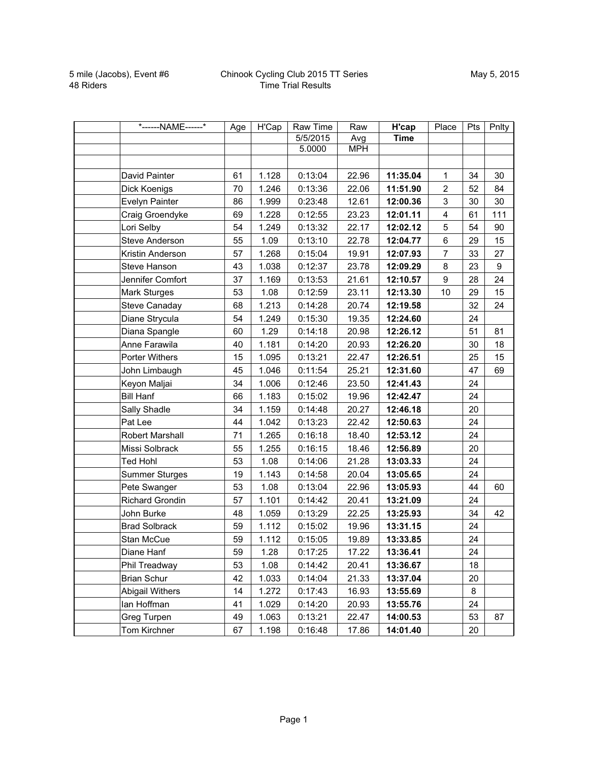| *------NAME------*     | Age | H'Cap | Raw Time | Raw        | H'cap       | Place                   | Pts | Pnlty |
|------------------------|-----|-------|----------|------------|-------------|-------------------------|-----|-------|
|                        |     |       | 5/5/2015 | Avg        | <b>Time</b> |                         |     |       |
|                        |     |       | 5.0000   | <b>MPH</b> |             |                         |     |       |
|                        |     |       |          |            |             |                         |     |       |
| David Painter          | 61  | 1.128 | 0:13:04  | 22.96      | 11:35.04    | $\mathbf{1}$            | 34  | 30    |
| Dick Koenigs           | 70  | 1.246 | 0:13:36  | 22.06      | 11:51.90    | $\overline{c}$          | 52  | 84    |
| Evelyn Painter         | 86  | 1.999 | 0:23:48  | 12.61      | 12:00.36    | 3                       | 30  | 30    |
| Craig Groendyke        | 69  | 1.228 | 0:12:55  | 23.23      | 12:01.11    | $\overline{\mathbf{4}}$ | 61  | 111   |
| Lori Selby             | 54  | 1.249 | 0:13:32  | 22.17      | 12:02.12    | 5                       | 54  | 90    |
| <b>Steve Anderson</b>  | 55  | 1.09  | 0:13:10  | 22.78      | 12:04.77    | 6                       | 29  | 15    |
| Kristin Anderson       | 57  | 1.268 | 0:15:04  | 19.91      | 12:07.93    | $\overline{7}$          | 33  | 27    |
| Steve Hanson           | 43  | 1.038 | 0:12:37  | 23.78      | 12:09.29    | 8                       | 23  | 9     |
| Jennifer Comfort       | 37  | 1.169 | 0:13:53  | 21.61      | 12:10.57    | $9\,$                   | 28  | 24    |
| Mark Sturges           | 53  | 1.08  | 0:12:59  | 23.11      | 12:13.30    | 10                      | 29  | 15    |
| <b>Steve Canaday</b>   | 68  | 1.213 | 0:14:28  | 20.74      | 12:19.58    |                         | 32  | 24    |
| Diane Strycula         | 54  | 1.249 | 0:15:30  | 19.35      | 12:24.60    |                         | 24  |       |
| Diana Spangle          | 60  | 1.29  | 0:14:18  | 20.98      | 12:26.12    |                         | 51  | 81    |
| Anne Farawila          | 40  | 1.181 | 0:14:20  | 20.93      | 12:26.20    |                         | 30  | 18    |
| Porter Withers         | 15  | 1.095 | 0:13:21  | 22.47      | 12:26.51    |                         | 25  | 15    |
| John Limbaugh          | 45  | 1.046 | 0:11:54  | 25.21      | 12:31.60    |                         | 47  | 69    |
| Keyon Maljai           | 34  | 1.006 | 0:12:46  | 23.50      | 12:41.43    |                         | 24  |       |
| <b>Bill Hanf</b>       | 66  | 1.183 | 0:15:02  | 19.96      | 12:42.47    |                         | 24  |       |
| Sally Shadle           | 34  | 1.159 | 0:14:48  | 20.27      | 12:46.18    |                         | 20  |       |
| Pat Lee                | 44  | 1.042 | 0:13:23  | 22.42      | 12:50.63    |                         | 24  |       |
| Robert Marshall        | 71  | 1.265 | 0:16:18  | 18.40      | 12:53.12    |                         | 24  |       |
| Missi Solbrack         | 55  | 1.255 | 0:16:15  | 18.46      | 12:56.89    |                         | 20  |       |
| <b>Ted Hohl</b>        | 53  | 1.08  | 0:14:06  | 21.28      | 13:03.33    |                         | 24  |       |
| <b>Summer Sturges</b>  | 19  | 1.143 | 0:14:58  | 20.04      | 13:05.65    |                         | 24  |       |
| Pete Swanger           | 53  | 1.08  | 0:13:04  | 22.96      | 13:05.93    |                         | 44  | 60    |
| <b>Richard Grondin</b> | 57  | 1.101 | 0:14:42  | 20.41      | 13:21.09    |                         | 24  |       |
| John Burke             | 48  | 1.059 | 0:13:29  | 22.25      | 13:25.93    |                         | 34  | 42    |
| <b>Brad Solbrack</b>   | 59  | 1.112 | 0:15:02  | 19.96      | 13:31.15    |                         | 24  |       |
| Stan McCue             | 59  | 1.112 | 0:15:05  | 19.89      | 13:33.85    |                         | 24  |       |
| Diane Hanf             | 59  | 1.28  | 0:17:25  | 17.22      | 13:36.41    |                         | 24  |       |
| Phil Treadway          | 53  | 1.08  | 0:14:42  | 20.41      | 13:36.67    |                         | 18  |       |
| <b>Brian Schur</b>     | 42  | 1.033 | 0:14:04  | 21.33      | 13:37.04    |                         | 20  |       |
| Abigail Withers        | 14  | 1.272 | 0:17:43  | 16.93      | 13:55.69    |                         | 8   |       |
| lan Hoffman            | 41  | 1.029 | 0:14:20  | 20.93      | 13:55.76    |                         | 24  |       |
| Greg Turpen            | 49  | 1.063 | 0:13:21  | 22.47      | 14:00.53    |                         | 53  | 87    |
| Tom Kirchner           | 67  | 1.198 | 0:16:48  | 17.86      | 14:01.40    |                         | 20  |       |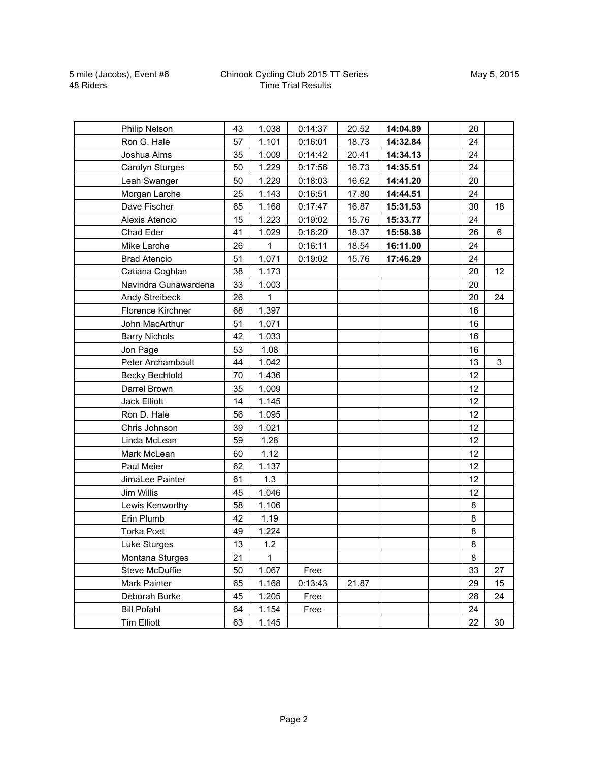## Chinook Cycling Club 2015 TT Series Time Trial Results

| Philip Nelson         | 43 | 1.038 | 0:14:37 | 20.52 | 14:04.89 | 20 |                |
|-----------------------|----|-------|---------|-------|----------|----|----------------|
| Ron G. Hale           | 57 | 1.101 | 0:16:01 | 18.73 | 14:32.84 | 24 |                |
| Joshua Alms           | 35 | 1.009 | 0:14:42 | 20.41 | 14:34.13 | 24 |                |
| Carolyn Sturges       | 50 | 1.229 | 0:17:56 | 16.73 | 14:35.51 | 24 |                |
| Leah Swanger          | 50 | 1.229 | 0:18:03 | 16.62 | 14:41.20 | 20 |                |
| Morgan Larche         | 25 | 1.143 | 0:16:51 | 17.80 | 14:44.51 | 24 |                |
| Dave Fischer          | 65 | 1.168 | 0:17:47 | 16.87 | 15:31.53 | 30 | 18             |
| Alexis Atencio        | 15 | 1.223 | 0:19:02 | 15.76 | 15:33.77 | 24 |                |
| Chad Eder             | 41 | 1.029 | 0:16:20 | 18.37 | 15:58.38 | 26 | $6\phantom{a}$ |
| Mike Larche           | 26 | 1     | 0:16:11 | 18.54 | 16:11.00 | 24 |                |
| <b>Brad Atencio</b>   | 51 | 1.071 | 0:19:02 | 15.76 | 17:46.29 | 24 |                |
| Catiana Coghlan       | 38 | 1.173 |         |       |          | 20 | 12             |
| Navindra Gunawardena  | 33 | 1.003 |         |       |          | 20 |                |
| <b>Andy Streibeck</b> | 26 | 1     |         |       |          | 20 | 24             |
| Florence Kirchner     | 68 | 1.397 |         |       |          | 16 |                |
| John MacArthur        | 51 | 1.071 |         |       |          | 16 |                |
| <b>Barry Nichols</b>  | 42 | 1.033 |         |       |          | 16 |                |
| Jon Page              | 53 | 1.08  |         |       |          | 16 |                |
| Peter Archambault     | 44 | 1.042 |         |       |          | 13 | 3              |
| <b>Becky Bechtold</b> | 70 | 1.436 |         |       |          | 12 |                |
| Darrel Brown          | 35 | 1.009 |         |       |          | 12 |                |
| <b>Jack Elliott</b>   | 14 | 1.145 |         |       |          | 12 |                |
| Ron D. Hale           | 56 | 1.095 |         |       |          | 12 |                |
| Chris Johnson         | 39 | 1.021 |         |       |          | 12 |                |
| Linda McLean          | 59 | 1.28  |         |       |          | 12 |                |
| Mark McLean           | 60 | 1.12  |         |       |          | 12 |                |
| Paul Meier            | 62 | 1.137 |         |       |          | 12 |                |
| JimaLee Painter       | 61 | 1.3   |         |       |          | 12 |                |
| <b>Jim Willis</b>     | 45 | 1.046 |         |       |          | 12 |                |
| Lewis Kenworthy       | 58 | 1.106 |         |       |          | 8  |                |
| Erin Plumb            | 42 | 1.19  |         |       |          | 8  |                |
| <b>Torka Poet</b>     | 49 | 1.224 |         |       |          | 8  |                |
| Luke Sturges          | 13 | 1.2   |         |       |          | 8  |                |
| Montana Sturges       | 21 | 1     |         |       |          | 8  |                |
| Steve McDuffie        | 50 | 1.067 | Free    |       |          | 33 | 27             |
| Mark Painter          | 65 | 1.168 | 0:13:43 | 21.87 |          | 29 | 15             |
| Deborah Burke         | 45 | 1.205 | Free    |       |          | 28 | 24             |
| <b>Bill Pofahl</b>    | 64 | 1.154 | Free    |       |          | 24 |                |
| <b>Tim Elliott</b>    | 63 | 1.145 |         |       |          | 22 | 30             |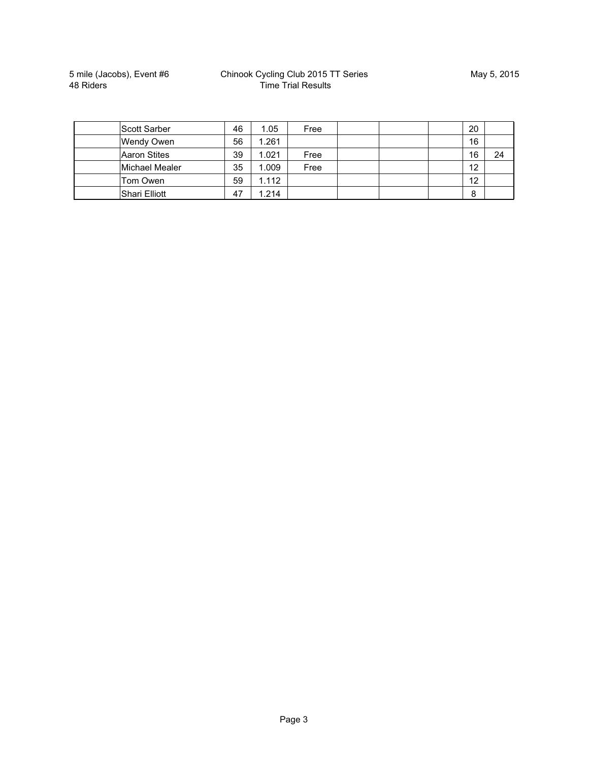| <b>Scott Sarber</b> | 46 | 1.05  | Free |  | 20 |    |
|---------------------|----|-------|------|--|----|----|
| Wendy Owen          | 56 | 1.261 |      |  | 16 |    |
| <b>Aaron Stites</b> | 39 | 1.021 | Free |  | 16 | 24 |
| Michael Mealer      | 35 | 1.009 | Free |  | 12 |    |
| Tom Owen            | 59 | 1.112 |      |  | 12 |    |
| Shari Elliott       | 47 | 1.214 |      |  | 8  |    |